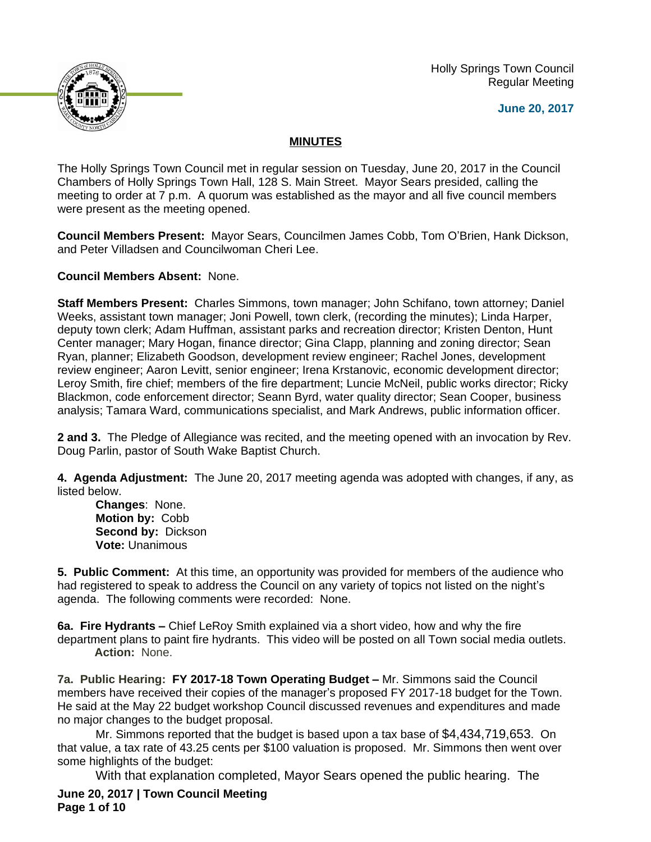Holly Springs Town Council Regular Meeting





## **MINUTES**

The Holly Springs Town Council met in regular session on Tuesday, June 20, 2017 in the Council Chambers of Holly Springs Town Hall, 128 S. Main Street. Mayor Sears presided, calling the meeting to order at 7 p.m. A quorum was established as the mayor and all five council members were present as the meeting opened.

**Council Members Present:** Mayor Sears, Councilmen James Cobb, Tom O'Brien, Hank Dickson, and Peter Villadsen and Councilwoman Cheri Lee.

**Council Members Absent:** None.

**Staff Members Present:** Charles Simmons, town manager; John Schifano, town attorney; Daniel Weeks, assistant town manager; Joni Powell, town clerk, (recording the minutes); Linda Harper, deputy town clerk; Adam Huffman, assistant parks and recreation director; Kristen Denton, Hunt Center manager; Mary Hogan, finance director; Gina Clapp, planning and zoning director; Sean Ryan, planner; Elizabeth Goodson, development review engineer; Rachel Jones, development review engineer; Aaron Levitt, senior engineer; Irena Krstanovic, economic development director; Leroy Smith, fire chief; members of the fire department; Luncie McNeil, public works director; Ricky Blackmon, code enforcement director; Seann Byrd, water quality director; Sean Cooper, business analysis; Tamara Ward, communications specialist, and Mark Andrews, public information officer.

**2 and 3.** The Pledge of Allegiance was recited, and the meeting opened with an invocation by Rev. Doug Parlin, pastor of South Wake Baptist Church.

**4. Agenda Adjustment:** The June 20, 2017 meeting agenda was adopted with changes, if any, as listed below.

**Changes**: None. **Motion by:** Cobb **Second by:** Dickson **Vote:** Unanimous

**5. Public Comment:** At this time, an opportunity was provided for members of the audience who had registered to speak to address the Council on any variety of topics not listed on the night's agenda. The following comments were recorded: None.

**6a. Fire Hydrants –** Chief LeRoy Smith explained via a short video, how and why the fire department plans to paint fire hydrants. This video will be posted on all Town social media outlets. **Action:** None.

**7a. Public Hearing: FY 2017-18 Town Operating Budget – Mr. Simmons said the Council** members have received their copies of the manager's proposed FY 2017-18 budget for the Town. He said at the May 22 budget workshop Council discussed revenues and expenditures and made no major changes to the budget proposal.

Mr. Simmons reported that the budget is based upon a tax base of \$4,434,719,653. On that value, a tax rate of 43.25 cents per \$100 valuation is proposed. Mr. Simmons then went over some highlights of the budget:

With that explanation completed, Mayor Sears opened the public hearing. The

**June 20, 2017 | Town Council Meeting Page 1 of 10**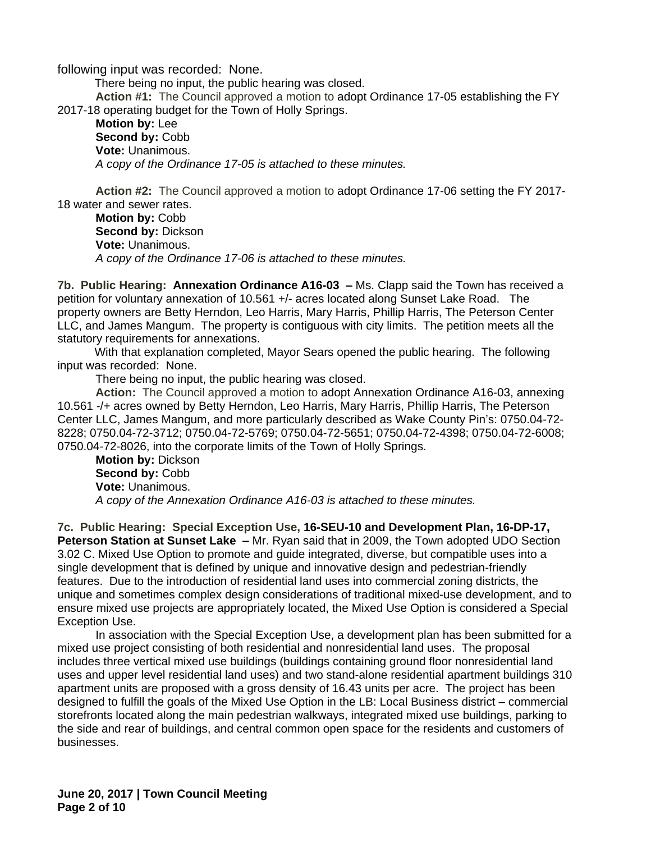following input was recorded: None.

There being no input, the public hearing was closed. **Action #1:** The Council approved a motion to adopt Ordinance 17-05 establishing the FY 2017-18 operating budget for the Town of Holly Springs.

**Motion by:** Lee Second by: Cobb **Vote:** Unanimous. *A copy of the Ordinance 17-05 is attached to these minutes.*

**Action #2:** The Council approved a motion to adopt Ordinance 17-06 setting the FY 2017- 18 water and sewer rates.

**Motion by:** Cobb **Second by:** Dickson **Vote:** Unanimous. *A copy of the Ordinance 17-06 is attached to these minutes.*

**7b. Public Hearing: Annexation Ordinance A16-03 –** Ms. Clapp said the Town has received a petition for voluntary annexation of 10.561 +/- acres located along Sunset Lake Road. The property owners are Betty Herndon, Leo Harris, Mary Harris, Phillip Harris, The Peterson Center LLC, and James Mangum. The property is contiguous with city limits. The petition meets all the statutory requirements for annexations.

With that explanation completed, Mayor Sears opened the public hearing. The following input was recorded: None.

There being no input, the public hearing was closed.

**Action:** The Council approved a motion to adopt Annexation Ordinance A16-03, annexing 10.561 -/+ acres owned by Betty Herndon, Leo Harris, Mary Harris, Phillip Harris, The Peterson Center LLC, James Mangum, and more particularly described as Wake County Pin's: 0750.04-72- 8228; 0750.04-72-3712; 0750.04-72-5769; 0750.04-72-5651; 0750.04-72-4398; 0750.04-72-6008; 0750.04-72-8026, into the corporate limits of the Town of Holly Springs.

**Motion by:** Dickson Second by: Cobb **Vote:** Unanimous. *A copy of the Annexation Ordinance A16-03 is attached to these minutes.*

**7c. Public Hearing: Special Exception Use, 16-SEU-10 and Development Plan, 16-DP-17, Peterson Station at Sunset Lake –** Mr. Ryan said that in 2009, the Town adopted UDO Section 3.02 C. Mixed Use Option to promote and guide integrated, diverse, but compatible uses into a single development that is defined by unique and innovative design and pedestrian-friendly features. Due to the introduction of residential land uses into commercial zoning districts, the unique and sometimes complex design considerations of traditional mixed-use development, and to ensure mixed use projects are appropriately located, the Mixed Use Option is considered a Special Exception Use.

In association with the Special Exception Use, a development plan has been submitted for a mixed use project consisting of both residential and nonresidential land uses. The proposal includes three vertical mixed use buildings (buildings containing ground floor nonresidential land uses and upper level residential land uses) and two stand-alone residential apartment buildings 310 apartment units are proposed with a gross density of 16.43 units per acre. The project has been designed to fulfill the goals of the Mixed Use Option in the LB: Local Business district – commercial storefronts located along the main pedestrian walkways, integrated mixed use buildings, parking to the side and rear of buildings, and central common open space for the residents and customers of businesses.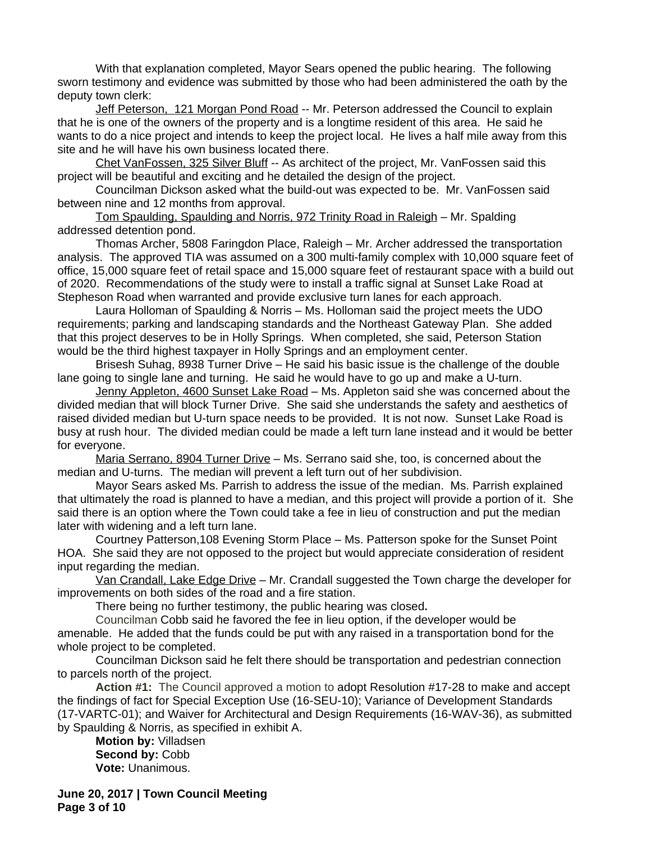With that explanation completed, Mayor Sears opened the public hearing. The following sworn testimony and evidence was submitted by those who had been administered the oath by the deputy town clerk:

Jeff Peterson, 121 Morgan Pond Road -- Mr. Peterson addressed the Council to explain that he is one of the owners of the property and is a longtime resident of this area. He said he wants to do a nice project and intends to keep the project local. He lives a half mile away from this site and he will have his own business located there.

Chet VanFossen, 325 Silver Bluff -- As architect of the project, Mr. VanFossen said this project will be beautiful and exciting and he detailed the design of the project.

Councilman Dickson asked what the build-out was expected to be. Mr. VanFossen said between nine and 12 months from approval.

Tom Spaulding, Spaulding and Norris, 972 Trinity Road in Raleigh – Mr. Spalding addressed detention pond.

Thomas Archer, 5808 Faringdon Place, Raleigh – Mr. Archer addressed the transportation analysis. The approved TIA was assumed on a 300 multi-family complex with 10,000 square feet of office, 15,000 square feet of retail space and 15,000 square feet of restaurant space with a build out of 2020. Recommendations of the study were to install a traffic signal at Sunset Lake Road at Stepheson Road when warranted and provide exclusive turn lanes for each approach.

Laura Holloman of Spaulding & Norris – Ms. Holloman said the project meets the UDO requirements; parking and landscaping standards and the Northeast Gateway Plan. She added that this project deserves to be in Holly Springs. When completed, she said, Peterson Station would be the third highest taxpayer in Holly Springs and an employment center.

Brisesh Suhag, 8938 Turner Drive – He said his basic issue is the challenge of the double lane going to single lane and turning. He said he would have to go up and make a U-turn.

Jenny Appleton, 4600 Sunset Lake Road - Ms. Appleton said she was concerned about the divided median that will block Turner Drive. She said she understands the safety and aesthetics of raised divided median but U-turn space needs to be provided. It is not now. Sunset Lake Road is busy at rush hour. The divided median could be made a left turn lane instead and it would be better for everyone.

Maria Serrano, 8904 Turner Drive – Ms. Serrano said she, too, is concerned about the median and U-turns. The median will prevent a left turn out of her subdivision.

Mayor Sears asked Ms. Parrish to address the issue of the median. Ms. Parrish explained that ultimately the road is planned to have a median, and this project will provide a portion of it. She said there is an option where the Town could take a fee in lieu of construction and put the median later with widening and a left turn lane.

Courtney Patterson,108 Evening Storm Place – Ms. Patterson spoke for the Sunset Point HOA. She said they are not opposed to the project but would appreciate consideration of resident input regarding the median.

Van Crandall, Lake Edge Drive – Mr. Crandall suggested the Town charge the developer for improvements on both sides of the road and a fire station.

There being no further testimony, the public hearing was closed**.**

Councilman Cobb said he favored the fee in lieu option, if the developer would be amenable. He added that the funds could be put with any raised in a transportation bond for the whole project to be completed.

Councilman Dickson said he felt there should be transportation and pedestrian connection to parcels north of the project.

**Action #1:** The Council approved a motion to adopt Resolution #17-28 to make and accept the findings of fact for Special Exception Use (16-SEU-10); Variance of Development Standards (17-VARTC-01); and Waiver for Architectural and Design Requirements (16-WAV-36), as submitted by Spaulding & Norris, as specified in exhibit A.

**Motion by:** Villadsen Second by: Cobb **Vote:** Unanimous.

**June 20, 2017 | Town Council Meeting Page 3 of 10**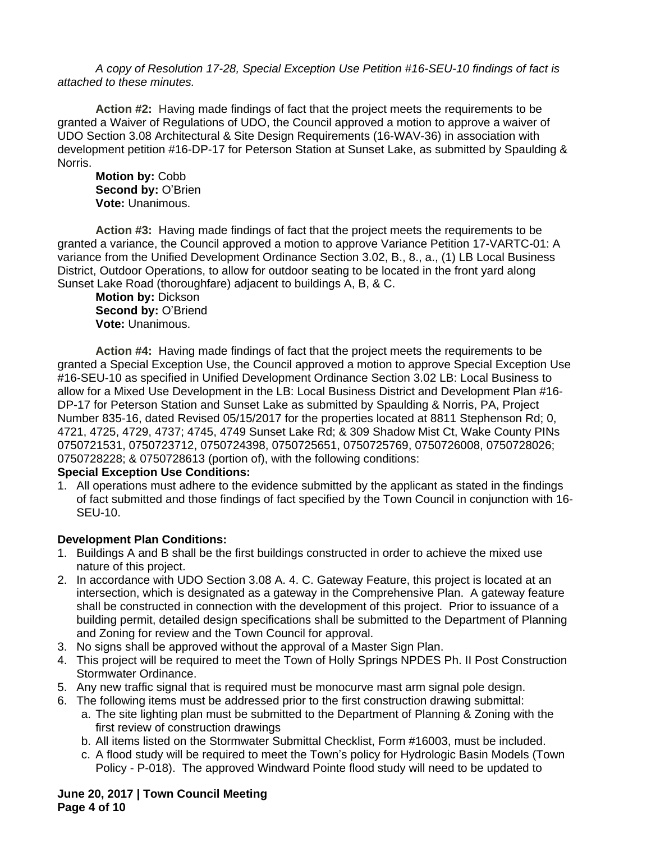*A copy of Resolution 17-28, Special Exception Use Petition #16-SEU-10 findings of fact is attached to these minutes.*

**Action #2:** Having made findings of fact that the project meets the requirements to be granted a Waiver of Regulations of UDO, the Council approved a motion to approve a waiver of UDO Section 3.08 Architectural & Site Design Requirements (16-WAV-36) in association with development petition #16-DP-17 for Peterson Station at Sunset Lake, as submitted by Spaulding & Norris.

**Motion by:** Cobb **Second by:** O'Brien **Vote:** Unanimous.

**Action #3:** Having made findings of fact that the project meets the requirements to be granted a variance, the Council approved a motion to approve Variance Petition 17-VARTC-01: A variance from the Unified Development Ordinance Section 3.02, B., 8., a., (1) LB Local Business District, Outdoor Operations, to allow for outdoor seating to be located in the front yard along Sunset Lake Road (thoroughfare) adjacent to buildings A, B, & C.

**Motion by:** Dickson **Second by:** O'Briend **Vote:** Unanimous.

**Action #4:** Having made findings of fact that the project meets the requirements to be granted a Special Exception Use, the Council approved a motion to approve Special Exception Use #16-SEU-10 as specified in Unified Development Ordinance Section 3.02 LB: Local Business to allow for a Mixed Use Development in the LB: Local Business District and Development Plan #16- DP-17 for Peterson Station and Sunset Lake as submitted by Spaulding & Norris, PA, Project Number 835-16, dated Revised 05/15/2017 for the properties located at 8811 Stephenson Rd; 0, 4721, 4725, 4729, 4737; 4745, 4749 Sunset Lake Rd; & 309 Shadow Mist Ct, Wake County PINs 0750721531, 0750723712, 0750724398, 0750725651, 0750725769, 0750726008, 0750728026; 0750728228; & 0750728613 (portion of), with the following conditions:

## **Special Exception Use Conditions:**

1. All operations must adhere to the evidence submitted by the applicant as stated in the findings of fact submitted and those findings of fact specified by the Town Council in conjunction with 16- SEU-10.

## **Development Plan Conditions:**

- 1. Buildings A and B shall be the first buildings constructed in order to achieve the mixed use nature of this project.
- 2. In accordance with UDO Section 3.08 A. 4. C. Gateway Feature, this project is located at an intersection, which is designated as a gateway in the Comprehensive Plan. A gateway feature shall be constructed in connection with the development of this project. Prior to issuance of a building permit, detailed design specifications shall be submitted to the Department of Planning and Zoning for review and the Town Council for approval.
- 3. No signs shall be approved without the approval of a Master Sign Plan.
- 4. This project will be required to meet the Town of Holly Springs NPDES Ph. II Post Construction Stormwater Ordinance.
- 5. Any new traffic signal that is required must be monocurve mast arm signal pole design.
- 6. The following items must be addressed prior to the first construction drawing submittal:
	- a. The site lighting plan must be submitted to the Department of Planning & Zoning with the first review of construction drawings
	- b. All items listed on the Stormwater Submittal Checklist, Form #16003, must be included.
	- c. A flood study will be required to meet the Town's policy for Hydrologic Basin Models (Town Policy - P-018). The approved Windward Pointe flood study will need to be updated to

**June 20, 2017 | Town Council Meeting Page 4 of 10**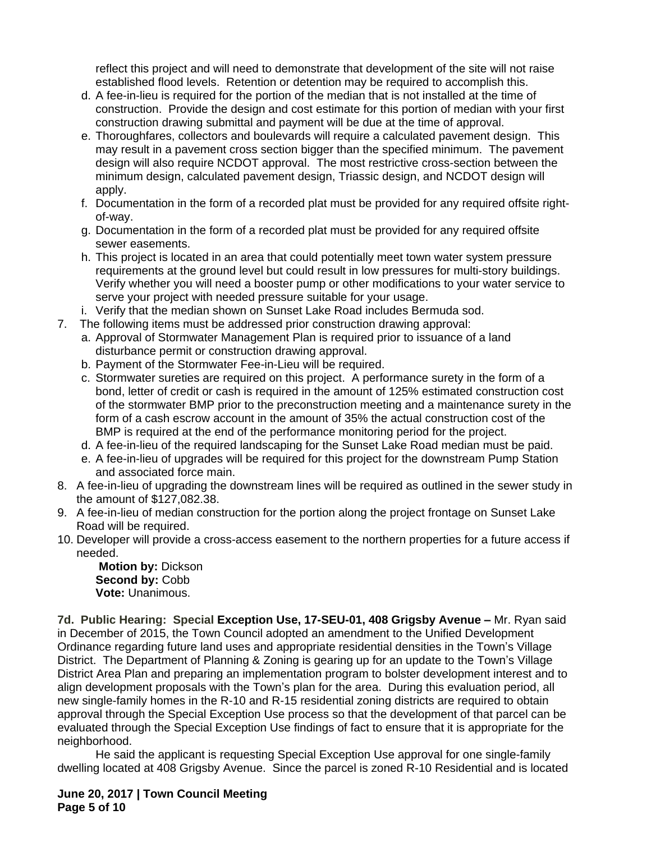reflect this project and will need to demonstrate that development of the site will not raise established flood levels. Retention or detention may be required to accomplish this.

- d. A fee-in-lieu is required for the portion of the median that is not installed at the time of construction. Provide the design and cost estimate for this portion of median with your first construction drawing submittal and payment will be due at the time of approval.
- e. Thoroughfares, collectors and boulevards will require a calculated pavement design. This may result in a pavement cross section bigger than the specified minimum. The pavement design will also require NCDOT approval. The most restrictive cross-section between the minimum design, calculated pavement design, Triassic design, and NCDOT design will apply.
- f. Documentation in the form of a recorded plat must be provided for any required offsite rightof-way.
- g. Documentation in the form of a recorded plat must be provided for any required offsite sewer easements.
- h. This project is located in an area that could potentially meet town water system pressure requirements at the ground level but could result in low pressures for multi-story buildings. Verify whether you will need a booster pump or other modifications to your water service to serve your project with needed pressure suitable for your usage.
- i. Verify that the median shown on Sunset Lake Road includes Bermuda sod.
- 7. The following items must be addressed prior construction drawing approval:
	- a. Approval of Stormwater Management Plan is required prior to issuance of a land disturbance permit or construction drawing approval.
	- b. Payment of the Stormwater Fee-in-Lieu will be required.
	- c. Stormwater sureties are required on this project. A performance surety in the form of a bond, letter of credit or cash is required in the amount of 125% estimated construction cost of the stormwater BMP prior to the preconstruction meeting and a maintenance surety in the form of a cash escrow account in the amount of 35% the actual construction cost of the BMP is required at the end of the performance monitoring period for the project.
	- d. A fee-in-lieu of the required landscaping for the Sunset Lake Road median must be paid.
	- e. A fee-in-lieu of upgrades will be required for this project for the downstream Pump Station and associated force main.
- 8. A fee-in-lieu of upgrading the downstream lines will be required as outlined in the sewer study in the amount of \$127,082.38.
- 9. A fee-in-lieu of median construction for the portion along the project frontage on Sunset Lake Road will be required.
- 10. Developer will provide a cross-access easement to the northern properties for a future access if needed.

**Motion by:** Dickson Second by: Cobb **Vote:** Unanimous.

**7d. Public Hearing: Special Exception Use, 17-SEU-01, 408 Grigsby Avenue - Mr. Ryan said** in December of 2015, the Town Council adopted an amendment to the Unified Development Ordinance regarding future land uses and appropriate residential densities in the Town's Village District. The Department of Planning & Zoning is gearing up for an update to the Town's Village District Area Plan and preparing an implementation program to bolster development interest and to align development proposals with the Town's plan for the area. During this evaluation period, all new single-family homes in the R-10 and R-15 residential zoning districts are required to obtain approval through the Special Exception Use process so that the development of that parcel can be evaluated through the Special Exception Use findings of fact to ensure that it is appropriate for the neighborhood.

He said the applicant is requesting Special Exception Use approval for one single-family dwelling located at 408 Grigsby Avenue. Since the parcel is zoned R-10 Residential and is located

**June 20, 2017 | Town Council Meeting Page 5 of 10**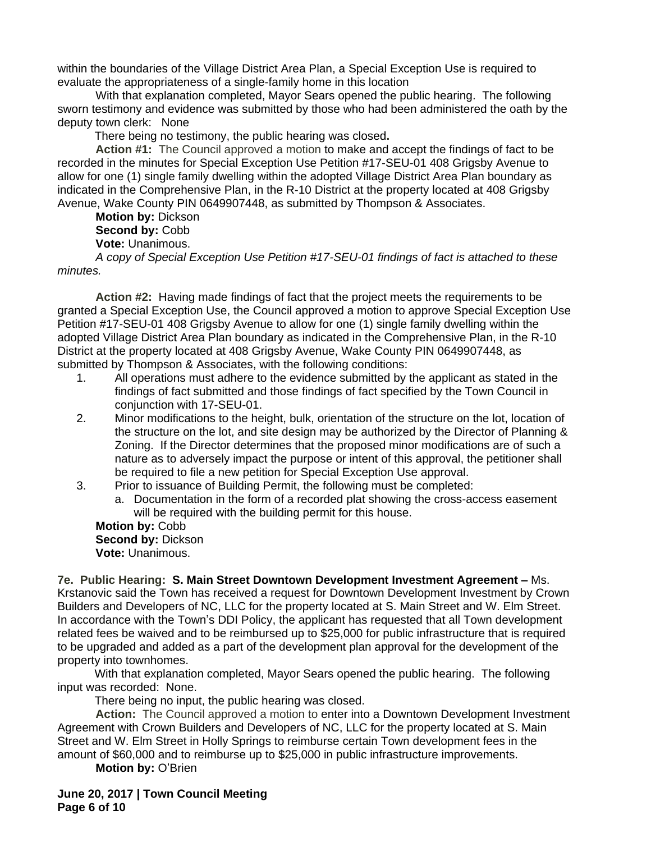within the boundaries of the Village District Area Plan, a Special Exception Use is required to evaluate the appropriateness of a single-family home in this location

With that explanation completed, Mayor Sears opened the public hearing. The following sworn testimony and evidence was submitted by those who had been administered the oath by the deputy town clerk: None

There being no testimony, the public hearing was closed**.**

**Action #1:** The Council approved a motion to make and accept the findings of fact to be recorded in the minutes for Special Exception Use Petition #17-SEU-01 408 Grigsby Avenue to allow for one (1) single family dwelling within the adopted Village District Area Plan boundary as indicated in the Comprehensive Plan, in the R-10 District at the property located at 408 Grigsby Avenue, Wake County PIN 0649907448, as submitted by Thompson & Associates.

**Motion by:** Dickson **Second by:** Cobb **Vote:** Unanimous. *A copy of Special Exception Use Petition #17-SEU-01 findings of fact is attached to these* 

*minutes.*

**Action #2:** Having made findings of fact that the project meets the requirements to be granted a Special Exception Use, the Council approved a motion to approve Special Exception Use Petition #17-SEU-01 408 Grigsby Avenue to allow for one (1) single family dwelling within the adopted Village District Area Plan boundary as indicated in the Comprehensive Plan, in the R-10 District at the property located at 408 Grigsby Avenue, Wake County PIN 0649907448, as submitted by Thompson & Associates, with the following conditions:

- 1. All operations must adhere to the evidence submitted by the applicant as stated in the findings of fact submitted and those findings of fact specified by the Town Council in conjunction with 17-SEU-01.
- 2. Minor modifications to the height, bulk, orientation of the structure on the lot, location of the structure on the lot, and site design may be authorized by the Director of Planning & Zoning. If the Director determines that the proposed minor modifications are of such a nature as to adversely impact the purpose or intent of this approval, the petitioner shall be required to file a new petition for Special Exception Use approval.
- 3. Prior to issuance of Building Permit, the following must be completed:
	- a. Documentation in the form of a recorded plat showing the cross-access easement will be required with the building permit for this house.

**Motion by:** Cobb **Second by:** Dickson **Vote:** Unanimous.

**7e. Public Hearing: S. Main Street Downtown Development Investment Agreement –** Ms. Krstanovic said the Town has received a request for Downtown Development Investment by Crown Builders and Developers of NC, LLC for the property located at S. Main Street and W. Elm Street. In accordance with the Town's DDI Policy, the applicant has requested that all Town development related fees be waived and to be reimbursed up to \$25,000 for public infrastructure that is required to be upgraded and added as a part of the development plan approval for the development of the property into townhomes.

With that explanation completed, Mayor Sears opened the public hearing. The following input was recorded: None.

There being no input, the public hearing was closed.

**Action:** The Council approved a motion to enter into a Downtown Development Investment Agreement with Crown Builders and Developers of NC, LLC for the property located at S. Main Street and W. Elm Street in Holly Springs to reimburse certain Town development fees in the amount of \$60,000 and to reimburse up to \$25,000 in public infrastructure improvements.

**Motion by:** O'Brien

**June 20, 2017 | Town Council Meeting Page 6 of 10**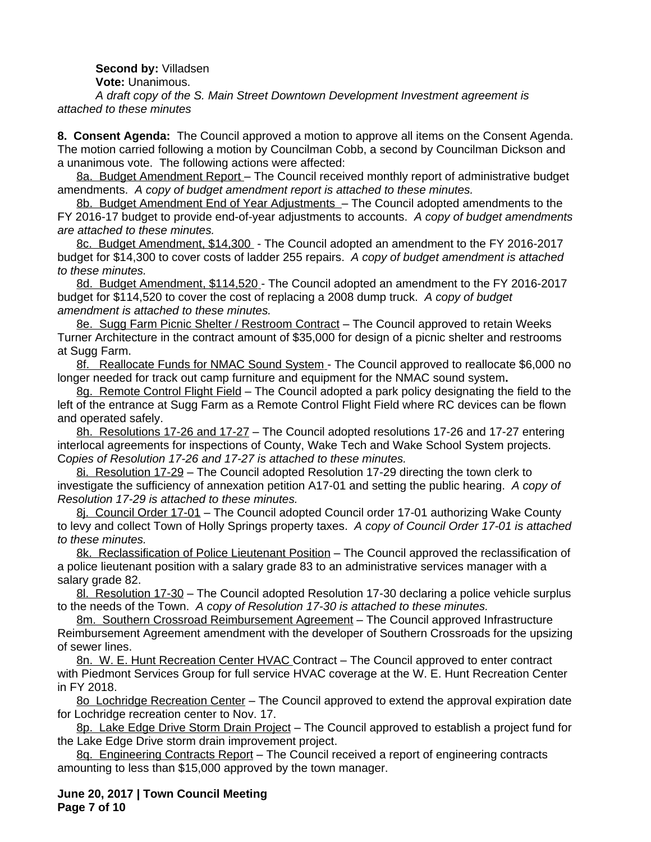**Second by:** Villadsen

**Vote:** Unanimous.

*A draft copy of the S. Main Street Downtown Development Investment agreement is attached to these minutes*

**8. Consent Agenda:** The Council approved a motion to approve all items on the Consent Agenda. The motion carried following a motion by Councilman Cobb, a second by Councilman Dickson and a unanimous vote. The following actions were affected:

8a. Budget Amendment Report – The Council received monthly report of administrative budget amendments. *A copy of budget amendment report is attached to these minutes.*

8b. Budget Amendment End of Year Adjustments – The Council adopted amendments to the FY 2016-17 budget to provide end-of-year adjustments to accounts. *A copy of budget amendments are attached to these minutes.*

8c. Budget Amendment, \$14,300 - The Council adopted an amendment to the FY 2016-2017 budget for \$14,300 to cover costs of ladder 255 repairs. *A copy of budget amendment is attached to these minutes.*

8d. Budget Amendment, \$114,520 - The Council adopted an amendment to the FY 2016-2017 budget for \$114,520 to cover the cost of replacing a 2008 dump truck.*A copy of budget amendment is attached to these minutes.*

8e. Sugg Farm Picnic Shelter / Restroom Contract – The Council approved to retain Weeks Turner Architecture in the contract amount of \$35,000 for design of a picnic shelter and restrooms at Sugg Farm.

8f. Reallocate Funds for NMAC Sound System - The Council approved to reallocate \$6,000 no longer needed for track out camp furniture and equipment for the NMAC sound system**.**

8g. Remote Control Flight Field - The Council adopted a park policy designating the field to the left of the entrance at Sugg Farm as a Remote Control Flight Field where RC devices can be flown and operated safely.

8h. Resolutions 17-26 and 17-27 – The Council adopted resolutions 17-26 and 17-27 entering interlocal agreements for inspections of County, Wake Tech and Wake School System projects. C*opies of Resolution 17-26 and 17-27 is attached to these minutes.*

8i. Resolution 17-29 – The Council adopted Resolution 17-29 directing the town clerk to investigate the sufficiency of annexation petition A17-01 and setting the public hearing. *A copy of Resolution 17-29 is attached to these minutes.*

8j. Council Order 17-01 – The Council adopted Council order 17-01 authorizing Wake County to levy and collect Town of Holly Springs property taxes. *A copy of Council Order 17-01 is attached to these minutes.*

8k. Reclassification of Police Lieutenant Position – The Council approved the reclassification of a police lieutenant position with a salary grade 83 to an administrative services manager with a salary grade 82.

8l. Resolution 17-30 – The Council adopted Resolution 17-30 declaring a police vehicle surplus to the needs of the Town. *A copy of Resolution 17-30 is attached to these minutes.*

8m. Southern Crossroad Reimbursement Agreement – The Council approved Infrastructure Reimbursement Agreement amendment with the developer of Southern Crossroads for the upsizing of sewer lines.

8n. W. E. Hunt Recreation Center HVAC Contract – The Council approved to enter contract with Piedmont Services Group for full service HVAC coverage at the W. E. Hunt Recreation Center in FY 2018.

80 Lochridge Recreation Center - The Council approved to extend the approval expiration date for Lochridge recreation center to Nov. 17.

8p. Lake Edge Drive Storm Drain Project – The Council approved to establish a project fund for the Lake Edge Drive storm drain improvement project.

8q. Engineering Contracts Report - The Council received a report of engineering contracts amounting to less than \$15,000 approved by the town manager.

**June 20, 2017 | Town Council Meeting Page 7 of 10**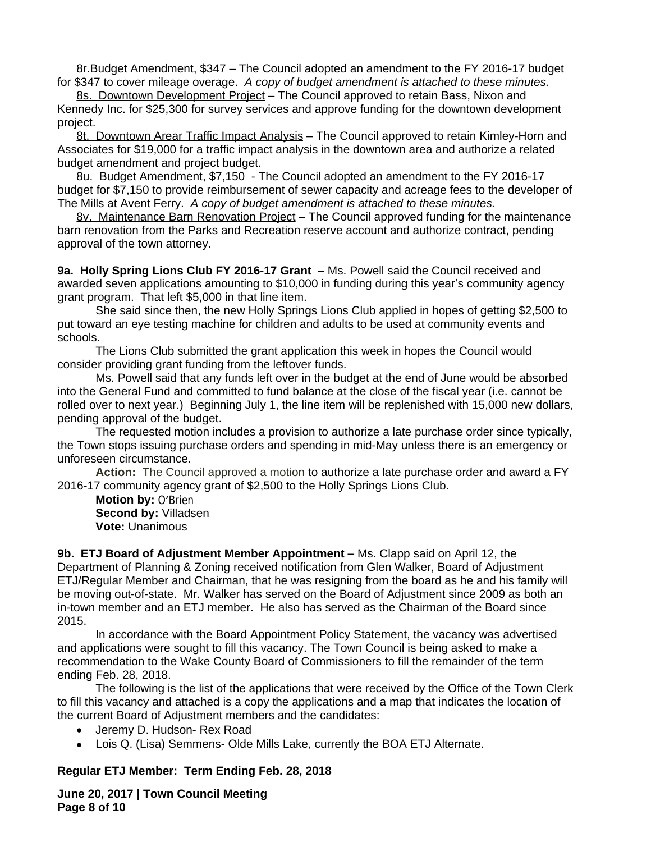8r.Budget Amendment, \$347 – The Council adopted an amendment to the FY 2016-17 budget for \$347 to cover mileage overage. *A copy of budget amendment is attached to these minutes.*

8s. Downtown Development Project - The Council approved to retain Bass, Nixon and Kennedy Inc. for \$25,300 for survey services and approve funding for the downtown development project.

8t. Downtown Arear Traffic Impact Analysis – The Council approved to retain Kimley-Horn and Associates for \$19,000 for a traffic impact analysis in the downtown area and authorize a related budget amendment and project budget.

8u. Budget Amendment, \$7,150 - The Council adopted an amendment to the FY 2016-17 budget for \$7,150 to provide reimbursement of sewer capacity and acreage fees to the developer of The Mills at Avent Ferry. *A copy of budget amendment is attached to these minutes.*

8v. Maintenance Barn Renovation Project – The Council approved funding for the maintenance barn renovation from the Parks and Recreation reserve account and authorize contract, pending approval of the town attorney.

**9a. Holly Spring Lions Club FY 2016-17 Grant –** Ms. Powell said the Council received and awarded seven applications amounting to \$10,000 in funding during this year's community agency grant program. That left \$5,000 in that line item.

She said since then, the new Holly Springs Lions Club applied in hopes of getting \$2,500 to put toward an eye testing machine for children and adults to be used at community events and schools.

The Lions Club submitted the grant application this week in hopes the Council would consider providing grant funding from the leftover funds.

Ms. Powell said that any funds left over in the budget at the end of June would be absorbed into the General Fund and committed to fund balance at the close of the fiscal year (i.e. cannot be rolled over to next year.) Beginning July 1, the line item will be replenished with 15,000 new dollars, pending approval of the budget.

The requested motion includes a provision to authorize a late purchase order since typically, the Town stops issuing purchase orders and spending in mid-May unless there is an emergency or unforeseen circumstance.

**Action:** The Council approved a motion to authorize a late purchase order and award a FY 2016-17 community agency grant of \$2,500 to the Holly Springs Lions Club.

**Motion by:** O'Brien **Second by:** Villadsen **Vote:** Unanimous

**9b. ETJ Board of Adjustment Member Appointment –** Ms. Clapp said on April 12, the Department of Planning & Zoning received notification from Glen Walker, Board of Adjustment ETJ/Regular Member and Chairman, that he was resigning from the board as he and his family will be moving out-of-state. Mr. Walker has served on the Board of Adjustment since 2009 as both an in-town member and an ETJ member. He also has served as the Chairman of the Board since 2015.

In accordance with the Board Appointment Policy Statement, the vacancy was advertised and applications were sought to fill this vacancy. The Town Council is being asked to make a recommendation to the Wake County Board of Commissioners to fill the remainder of the term ending Feb. 28, 2018.

The following is the list of the applications that were received by the Office of the Town Clerk to fill this vacancy and attached is a copy the applications and a map that indicates the location of the current Board of Adjustment members and the candidates:

- Jeremy D. Hudson- Rex Road
- Lois Q. (Lisa) Semmens- Olde Mills Lake, currently the BOA ETJ Alternate.

## **Regular ETJ Member: Term Ending Feb. 28, 2018**

**June 20, 2017 | Town Council Meeting Page 8 of 10**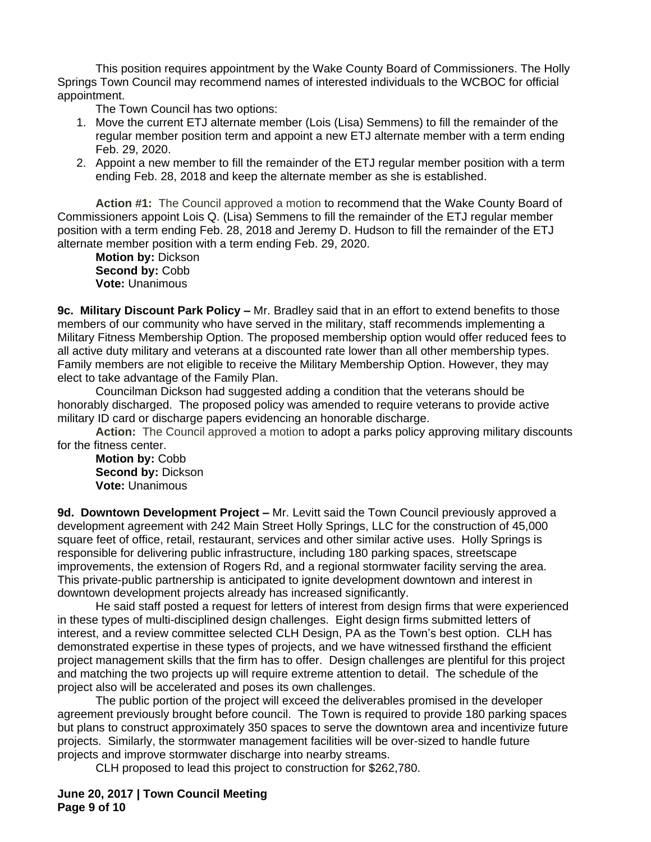This position requires appointment by the Wake County Board of Commissioners. The Holly Springs Town Council may recommend names of interested individuals to the WCBOC for official appointment.

The Town Council has two options:

- 1. Move the current ETJ alternate member (Lois (Lisa) Semmens) to fill the remainder of the regular member position term and appoint a new ETJ alternate member with a term ending Feb. 29, 2020.
- 2. Appoint a new member to fill the remainder of the ETJ regular member position with a term ending Feb. 28, 2018 and keep the alternate member as she is established.

**Action #1:** The Council approved a motion to recommend that the Wake County Board of Commissioners appoint Lois Q. (Lisa) Semmens to fill the remainder of the ETJ regular member position with a term ending Feb. 28, 2018 and Jeremy D. Hudson to fill the remainder of the ETJ alternate member position with a term ending Feb. 29, 2020.

**Motion by:** Dickson Second by: Cobb **Vote:** Unanimous

**9c. Military Discount Park Policy –** Mr. Bradley said that in an effort to extend benefits to those members of our community who have served in the military, staff recommends implementing a Military Fitness Membership Option. The proposed membership option would offer reduced fees to all active duty military and veterans at a discounted rate lower than all other membership types. Family members are not eligible to receive the Military Membership Option. However, they may elect to take advantage of the Family Plan.

Councilman Dickson had suggested adding a condition that the veterans should be honorably discharged. The proposed policy was amended to require veterans to provide active military ID card or discharge papers evidencing an honorable discharge.

**Action:** The Council approved a motion to adopt a parks policy approving military discounts for the fitness center.

**Motion by:** Cobb **Second by:** Dickson **Vote:** Unanimous

**9d. Downtown Development Project –** Mr. Levitt said the Town Council previously approved a development agreement with 242 Main Street Holly Springs, LLC for the construction of 45,000 square feet of office, retail, restaurant, services and other similar active uses. Holly Springs is responsible for delivering public infrastructure, including 180 parking spaces, streetscape improvements, the extension of Rogers Rd, and a regional stormwater facility serving the area. This private-public partnership is anticipated to ignite development downtown and interest in downtown development projects already has increased significantly.

He said staff posted a request for letters of interest from design firms that were experienced in these types of multi-disciplined design challenges. Eight design firms submitted letters of interest, and a review committee selected CLH Design, PA as the Town's best option. CLH has demonstrated expertise in these types of projects, and we have witnessed firsthand the efficient project management skills that the firm has to offer. Design challenges are plentiful for this project and matching the two projects up will require extreme attention to detail. The schedule of the project also will be accelerated and poses its own challenges.

The public portion of the project will exceed the deliverables promised in the developer agreement previously brought before council. The Town is required to provide 180 parking spaces but plans to construct approximately 350 spaces to serve the downtown area and incentivize future projects. Similarly, the stormwater management facilities will be over-sized to handle future projects and improve stormwater discharge into nearby streams.

CLH proposed to lead this project to construction for \$262,780.